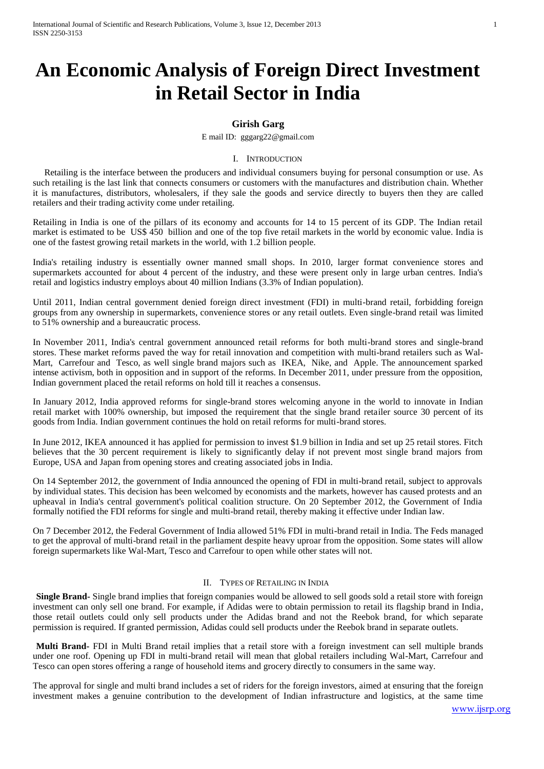# **An Economic Analysis of Foreign Direct Investment in Retail Sector in India**

# **Girish Garg**

E mail ID: [gggarg22@gmail.com](mailto:gggarg22@gmail.com)

#### I. INTRODUCTION

 Retailing is the interface between the producers and individual consumers buying for personal consumption or use. As such retailing is the last link that connects consumers or customers with the manufactures and distribution chain. Whether it is manufactures, distributors, wholesalers, if they sale the goods and service directly to buyers then they are called retailers and their trading activity come under retailing.

Retailing in India is one of the pillars of its economy and accounts for 14 to 15 percent of its GDP. The Indian retail market is estimated to be US\$ 450 billion and one of the top five retail markets in the world by economic value. India is one of the fastest growing retail markets in the world, with 1.2 billion people.

India's retailing industry is essentially owner manned small shops. In 2010, larger format convenience stores and supermarkets accounted for about 4 percent of the industry, and these were present only in large urban centres. India's retail and logistics industry employs about 40 million Indians (3.3% of Indian population).

Until 2011, Indian central government denied foreign direct investment (FDI) in multi-brand retail, forbidding foreign groups from any ownership in supermarkets, convenience stores or any retail outlets. Even single-brand retail was limited to 51% ownership and a bureaucratic process.

In November 2011, India's central government announced retail reforms for both multi-brand stores and single-brand stores. These market reforms paved the way for retail innovation and competition with multi-brand retailers such as Wal-Mart, Carrefour and Tesco, as well single brand majors such as IKEA, Nike, and Apple. The announcement sparked intense activism, both in opposition and in support of the reforms. In December 2011, under pressure from the opposition, Indian government placed the retail reforms on hold till it reaches a consensus.

In January 2012, India approved reforms for single-brand stores welcoming anyone in the world to innovate in Indian retail market with 100% ownership, but imposed the requirement that the single brand retailer source 30 percent of its goods from India. Indian government continues the hold on retail reforms for multi-brand stores.

In June 2012, IKEA announced it has applied for permission to invest \$1.9 billion in India and set up 25 retail stores. Fitch believes that the 30 percent requirement is likely to significantly delay if not prevent most single brand majors from Europe, USA and Japan from opening stores and creating associated jobs in India.

On 14 September 2012, the government of India announced the opening of FDI in multi-brand retail, subject to approvals by individual states. This decision has been welcomed by economists and the markets, however has caused protests and an upheaval in India's central government's political coalition structure. On 20 September 2012, the Government of India formally notified the FDI reforms for single and multi-brand retail, thereby making it effective under Indian law.

On 7 December 2012, the Federal Government of India allowed 51% FDI in multi-brand retail in India. The Feds managed to get the approval of multi-brand retail in the parliament despite heavy uproar from the opposition. Some states will allow foreign supermarkets like Wal-Mart, Tesco and Carrefour to open while other states will not.

# II. TYPES OF RETAILING IN INDIA

**Single Brand-** Single brand implies that foreign companies would be allowed to sell goods sold a retail store with foreign investment can only sell one brand. For example, if Adidas were to obtain permission to retail its flagship brand in India, those retail outlets could only sell products under the Adidas brand and not the Reebok brand, for which separate permission is required. If granted permission, Adidas could sell products under the Reebok brand in separate outlets.

**Multi Brand-** FDI in Multi Brand retail implies that a retail store with a foreign investment can sell multiple brands under one roof. Opening up FDI in multi-brand retail will mean that global retailers including Wal-Mart, Carrefour and Tesco can open stores offering a range of household items and grocery directly to consumers in the same way.

The approval for single and multi brand includes a set of riders for the foreign investors, aimed at ensuring that the foreign investment makes a genuine contribution to the development of Indian infrastructure and logistics, at the same time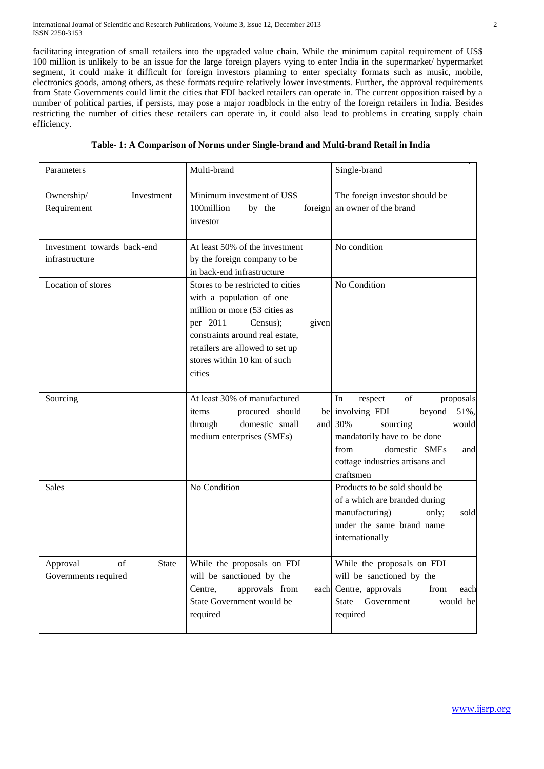facilitating integration of small retailers into the upgraded value chain. While the minimum capital requirement of US\$ 100 million is unlikely to be an issue for the large foreign players vying to enter India in the supermarket/ hypermarket segment, it could make it difficult for foreign investors planning to enter specialty formats such as music, mobile, electronics goods, among others, as these formats require relatively lower investments. Further, the approval requirements from State Governments could limit the cities that FDI backed retailers can operate in. The current opposition raised by a number of political parties, if persists, may pose a major roadblock in the entry of the foreign retailers in India. Besides restricting the number of cities these retailers can operate in, it could also lead to problems in creating supply chain efficiency.

| Parameters                                             | Multi-brand                                                                                                                                                                                                                                    | Single-brand                                                                                                                                                                                                      |
|--------------------------------------------------------|------------------------------------------------------------------------------------------------------------------------------------------------------------------------------------------------------------------------------------------------|-------------------------------------------------------------------------------------------------------------------------------------------------------------------------------------------------------------------|
| Ownership/<br>Investment<br>Requirement                | Minimum investment of US\$<br>100million<br>by the<br>foreign<br>investor                                                                                                                                                                      | The foreign investor should be<br>an owner of the brand                                                                                                                                                           |
| Investment towards back-end<br>infrastructure          | At least 50% of the investment<br>by the foreign company to be<br>in back-end infrastructure                                                                                                                                                   | No condition                                                                                                                                                                                                      |
| Location of stores                                     | Stores to be restricted to cities<br>with a population of one<br>million or more (53 cities as<br>per 2011<br>Census);<br>given<br>constraints around real estate,<br>retailers are allowed to set up<br>stores within 10 km of such<br>cities | No Condition                                                                                                                                                                                                      |
| Sourcing                                               | At least 30% of manufactured<br>procured should<br>items<br>domestic small<br>through<br>and<br>medium enterprises (SMEs)                                                                                                                      | of<br>In<br>proposals<br>respect<br>be involving FDI<br>beyond<br>51%,<br>30%<br>sourcing<br>would<br>mandatorily have to be done<br>from<br>domestic SMEs<br>and<br>cottage industries artisans and<br>craftsmen |
| Sales                                                  | No Condition                                                                                                                                                                                                                                   | Products to be sold should be<br>of a which are branded during<br>manufacturing)<br>sold<br>only;<br>under the same brand name<br>internationally                                                                 |
| of<br>Approval<br><b>State</b><br>Governments required | While the proposals on FDI<br>will be sanctioned by the<br>Centre,<br>approvals from<br>each<br>State Government would be<br>required                                                                                                          | While the proposals on FDI<br>will be sanctioned by the<br>Centre, approvals<br>from<br>each<br>Government<br><b>State</b><br>would be<br>required                                                                |

|  |  |  |  | Table- 1: A Comparison of Norms under Single-brand and Multi-brand Retail in India |  |
|--|--|--|--|------------------------------------------------------------------------------------|--|
|--|--|--|--|------------------------------------------------------------------------------------|--|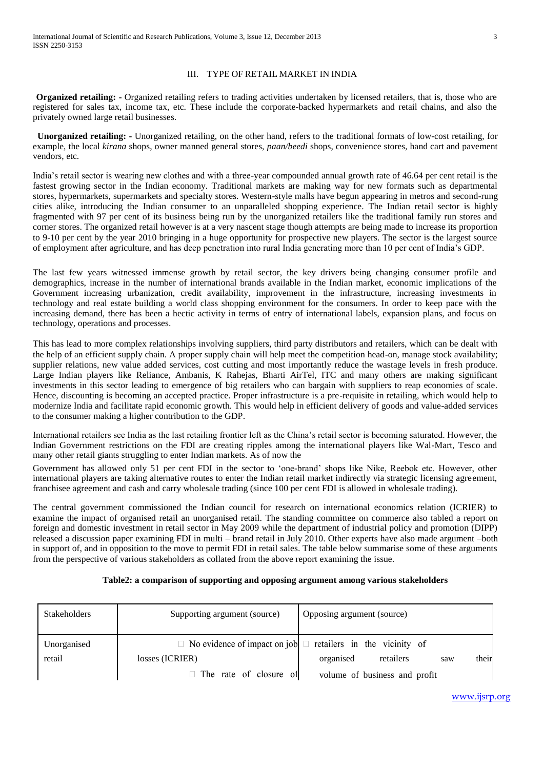# III. TYPE OF RETAIL MARKET IN INDIA

**Organized retailing: -** Organized retailing refers to trading activities undertaken by licensed retailers, that is, those who are registered for sales tax, income tax, etc. These include the corporate-backed hypermarkets and retail chains, and also the privately owned large retail businesses.

 **Unorganized retailing: -** Unorganized retailing, on the other hand, refers to the traditional formats of low-cost retailing, for example, the local *kirana* shops, owner manned general stores, *paan/beedi* shops, convenience stores, hand cart and pavement vendors, etc.

India's retail sector is wearing new clothes and with a three-year compounded annual growth rate of 46.64 per cent retail is the fastest growing sector in the Indian economy. Traditional markets are making way for new formats such as departmental stores, hypermarkets, supermarkets and specialty stores. Western-style malls have begun appearing in metros and second-rung cities alike, introducing the Indian consumer to an unparalleled shopping experience. The Indian retail sector is highly fragmented with 97 per cent of its business being run by the unorganized retailers like the traditional family run stores and corner stores. The organized retail however is at a very nascent stage though attempts are being made to increase its proportion to 9-10 per cent by the year 2010 bringing in a huge opportunity for prospective new players. The sector is the largest source of employment after agriculture, and has deep penetration into rural India generating more than 10 per cent of India's GDP.

The last few years witnessed immense growth by retail sector, the key drivers being changing consumer profile and demographics, increase in the number of international brands available in the Indian market, economic implications of the Government increasing urbanization, credit availability, improvement in the infrastructure, increasing investments in technology and real estate building a world class shopping environment for the consumers. In order to keep pace with the increasing demand, there has been a hectic activity in terms of entry of international labels, expansion plans, and focus on technology, operations and processes.

This has lead to more complex relationships involving suppliers, third party distributors and retailers, which can be dealt with the help of an efficient supply chain. A proper supply chain will help meet the competition head-on, manage stock availability; supplier relations, new value added services, cost cutting and most importantly reduce the wastage levels in fresh produce. Large Indian players like Reliance, Ambanis, K Rahejas, Bharti AirTel, ITC and many others are making significant investments in this sector leading to emergence of big retailers who can bargain with suppliers to reap economies of scale. Hence, discounting is becoming an accepted practice. Proper infrastructure is a pre-requisite in retailing, which would help to modernize India and facilitate rapid economic growth. This would help in efficient delivery of goods and value-added services to the consumer making a higher contribution to the GDP.

International retailers see India as the last retailing frontier left as the China's retail sector is becoming saturated. However, the Indian Government restrictions on the FDI are creating ripples among the international players like Wal-Mart, Tesco and many other retail giants struggling to enter Indian markets. As of now the

Government has allowed only 51 per cent FDI in the sector to 'one-brand' shops like Nike, Reebok etc. However, other international players are taking alternative routes to enter the Indian retail market indirectly via strategic licensing agreement, franchisee agreement and cash and carry wholesale trading (since 100 per cent FDI is allowed in wholesale trading).

The central government commissioned the Indian council for research on international economics relation (ICRIER) to examine the impact of organised retail an unorganised retail. The standing committee on commerce also tabled a report on foreign and domestic investment in retail sector in May 2009 while the department of industrial policy and promotion (DIPP) released a discussion paper examining FDI in multi – brand retail in July 2010. Other experts have also made argument –both in support of, and in opposition to the move to permit FDI in retail sales. The table below summarise some of these arguments from the perspective of various stakeholders as collated from the above report examining the issue.

#### **Table2: a comparison of supporting and opposing argument among various stakeholders**

| Stakeholders | Supporting argument (source)  | Opposing argument (source)                                              |
|--------------|-------------------------------|-------------------------------------------------------------------------|
| Unorganised  |                               | $\Box$ No evidence of impact on job $\Box$ retailers in the vicinity of |
| retail       | losses (ICRIER)               | their<br>organised<br>retailers<br>saw                                  |
|              | $\Box$ The rate of closure of | volume of business and profit                                           |

www.ijsrp.org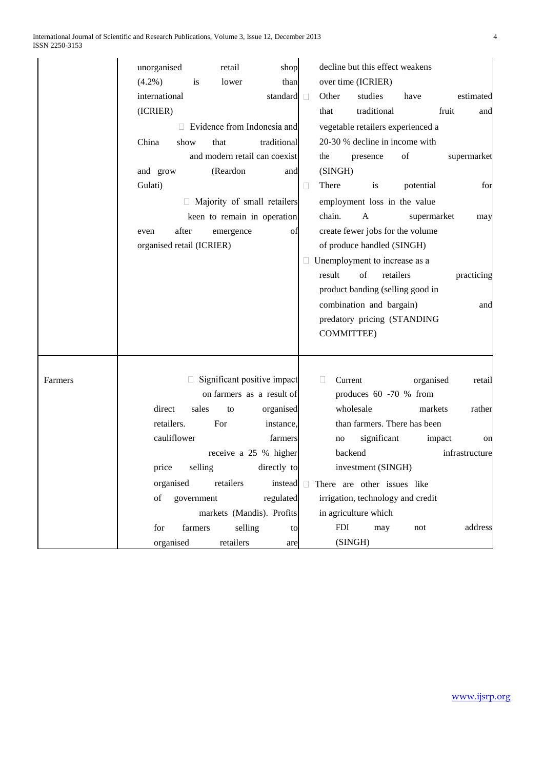|         | unorganised               |             | retail    | shop                               |   |                   | decline but this effect weakens            |             |        |                |
|---------|---------------------------|-------------|-----------|------------------------------------|---|-------------------|--------------------------------------------|-------------|--------|----------------|
|         | $(4.2\%)$                 | is          | lower     | than                               |   |                   | over time (ICRIER)                         |             |        |                |
|         | international             |             |           | standard <b>I</b>                  |   | Other             | studies                                    | have        |        | estimated      |
|         | (ICRIER)                  |             |           |                                    |   | that              | traditional                                |             | fruit  | and            |
|         |                           |             |           | $\Box$ Evidence from Indonesia and |   |                   | vegetable retailers experienced a          |             |        |                |
|         | China                     | show        | that      | traditional                        |   |                   | 20-30 % decline in income with             |             |        |                |
|         |                           |             |           | and modern retail can coexist      |   | the               | presence                                   | of          |        | supermarket    |
|         | and grow                  |             | (Reardon  | and                                |   | (SINGH)           |                                            |             |        |                |
|         | Gulati)                   |             |           |                                    | □ | There             | is                                         | potential   |        | for            |
|         |                           |             |           | Majority of small retailers        |   |                   | employment loss in the value               |             |        |                |
|         |                           |             |           | keen to remain in operation        |   | chain.            | A                                          | supermarket |        | may            |
|         | even                      | after       | emergence | of                                 |   |                   | create fewer jobs for the volume           |             |        |                |
|         | organised retail (ICRIER) |             |           |                                    |   |                   | of produce handled (SINGH)                 |             |        |                |
|         |                           |             |           |                                    |   |                   | Unemployment to increase as a              |             |        |                |
|         |                           |             |           |                                    |   | result            | of<br>retailers                            |             |        | practicing     |
|         |                           |             |           |                                    |   |                   | product banding (selling good in           |             |        |                |
|         |                           |             |           |                                    |   |                   | combination and bargain)                   |             |        | and            |
|         |                           |             |           |                                    |   |                   | predatory pricing (STANDING                |             |        |                |
|         |                           |             |           |                                    |   | COMMITTEE)        |                                            |             |        |                |
|         |                           |             |           |                                    |   |                   |                                            |             |        |                |
|         |                           |             |           |                                    |   |                   |                                            |             |        |                |
| Farmers |                           |             |           | Significant positive impact        |   | $\Box$<br>Current |                                            | organised   |        | retail         |
|         |                           |             |           | on farmers as a result of          |   |                   | produces 60 -70 % from                     |             |        |                |
|         | direct                    | sales       | to        | organised                          |   |                   | wholesale                                  | markets     |        | rather         |
|         | retailers.                |             | For       | instance,                          |   |                   | than farmers. There has been               |             |        |                |
|         |                           | cauliflower |           | farmers                            |   | no                | significant                                |             | impact | on             |
|         |                           |             |           | receive a 25 % higher              |   |                   | backend                                    |             |        | infrastructure |
|         | price                     | selling     |           | directly to                        |   |                   | investment (SINGH)                         |             |        |                |
|         |                           | organised   | retailers |                                    |   |                   | instead $\Box$ There are other issues like |             |        |                |
|         | of                        | government  |           | regulated                          |   |                   | irrigation, technology and credit          |             |        |                |
|         |                           |             |           | markets (Mandis). Profits          |   |                   | in agriculture which                       |             |        |                |
|         | for                       | farmers     | selling   | to                                 |   | <b>FDI</b>        | may                                        | not         |        | address        |
|         |                           | organised   | retailers | are                                |   |                   | (SINGH)                                    |             |        |                |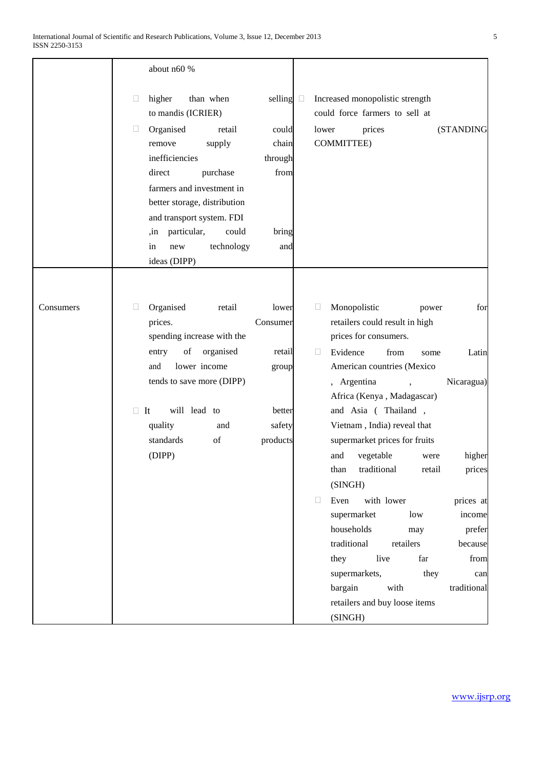|           | about n60 %                                                                                                                                                                                                                                                                                                                                                                                                                                                                                                         |
|-----------|---------------------------------------------------------------------------------------------------------------------------------------------------------------------------------------------------------------------------------------------------------------------------------------------------------------------------------------------------------------------------------------------------------------------------------------------------------------------------------------------------------------------|
|           | higher<br>than when<br>selling $\square$<br>Increased monopolistic strength<br>$\Box$<br>could force farmers to sell at<br>to mandis (ICRIER)<br>Organised<br>retail<br>lower<br>prices<br>(STANDING<br>u<br>could<br><b>COMMITTEE)</b><br>chain<br>supply<br>remove<br>inefficiencies<br>through<br>from<br>direct<br>purchase<br>farmers and investment in<br>better storage, distribution<br>and transport system. FDI<br>particular,<br>could<br>bring<br>in,<br>in<br>technology<br>new<br>and<br>ideas (DIPP) |
| Consumers | Organised<br>Monopolistic<br>retail<br>$\Box$<br>lower<br>$\Box$<br>for<br>power                                                                                                                                                                                                                                                                                                                                                                                                                                    |
|           | prices.<br>retailers could result in high<br>Consumer<br>prices for consumers.<br>spending increase with the                                                                                                                                                                                                                                                                                                                                                                                                        |
|           | of<br>organised<br>Evidence<br>entry<br>retail<br>$\Box$<br>from<br>Latin<br>some                                                                                                                                                                                                                                                                                                                                                                                                                                   |
|           | lower income<br>American countries (Mexico<br>and<br>group                                                                                                                                                                                                                                                                                                                                                                                                                                                          |
|           | tends to save more (DIPP)<br>, Argentina<br>Nicaragua)<br>Africa (Kenya, Madagascar)                                                                                                                                                                                                                                                                                                                                                                                                                                |
|           | will lead to<br>and Asia (Thailand,<br>$\Box$ It<br>better                                                                                                                                                                                                                                                                                                                                                                                                                                                          |
|           | Vietnam, India) reveal that<br>quality<br>safety<br>and                                                                                                                                                                                                                                                                                                                                                                                                                                                             |
|           | standards<br>of<br>products<br>supermarket prices for fruits                                                                                                                                                                                                                                                                                                                                                                                                                                                        |
|           | (DIPP)<br>vegetable<br>higher<br>and<br>were                                                                                                                                                                                                                                                                                                                                                                                                                                                                        |
|           | traditional<br>than<br>retail<br>prices<br>(SINGH)                                                                                                                                                                                                                                                                                                                                                                                                                                                                  |
|           | $\Box$<br>Even<br>with lower<br>prices at                                                                                                                                                                                                                                                                                                                                                                                                                                                                           |
|           | supermarket<br>income<br>low                                                                                                                                                                                                                                                                                                                                                                                                                                                                                        |
|           | households<br>prefer<br>may                                                                                                                                                                                                                                                                                                                                                                                                                                                                                         |
|           | traditional<br>retailers<br>because                                                                                                                                                                                                                                                                                                                                                                                                                                                                                 |
|           | they<br>live<br>from<br>far                                                                                                                                                                                                                                                                                                                                                                                                                                                                                         |
|           | supermarkets,<br>they<br>can                                                                                                                                                                                                                                                                                                                                                                                                                                                                                        |
|           | traditional<br>bargain<br>with                                                                                                                                                                                                                                                                                                                                                                                                                                                                                      |
|           | retailers and buy loose items                                                                                                                                                                                                                                                                                                                                                                                                                                                                                       |
|           | (SINGH)                                                                                                                                                                                                                                                                                                                                                                                                                                                                                                             |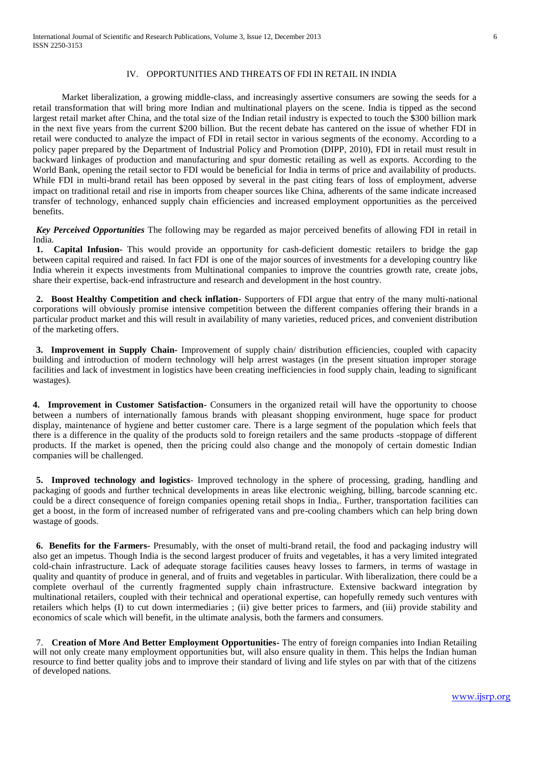#### IV. OPPORTUNITIES AND THREATS OF FDI IN RETAIL IN INDIA

Market liberalization, a growing middle-class, and increasingly assertive consumers are sowing the seeds for a retail transformation that will bring more Indian and multinational players on the scene. India is tipped as the second largest retail market after China, and the total size of the Indian retail industry is expected to touch the \$300 billion mark in the next five years from the current \$200 billion. But the recent debate has cantered on the issue of whether FDI in retail were conducted to analyze the impact of FDI in retail sector in various segments of the economy. According to a policy paper prepared by the Department of Industrial Policy and Promotion (DIPP, 2010), FDI in retail must result in backward linkages of production and manufacturing and spur domestic retailing as well as exports. According to the World Bank, opening the retail sector to FDI would be beneficial for India in terms of price and availability of products. While FDI in multi-brand retail has been opposed by several in the past citing fears of loss of employment, adverse impact on traditional retail and rise in imports from cheaper sources like China, adherents of the same indicate increased transfer of technology, enhanced supply chain efficiencies and increased employment opportunities as the perceived benefits.

*Key Perceived Opportunities* The following may be regarded as major perceived benefits of allowing FDI in retail in India.

**1. Capital Infusion-** This would provide an opportunity for cash-deficient domestic retailers to bridge the gap between capital required and raised. In fact FDI is one of the major sources of investments for a developing country like India wherein it expects investments from Multinational companies to improve the countries growth rate, create jobs, share their expertise, back-end infrastructure and research and development in the host country.

**2. Boost Healthy Competition and check inflation-** Supporters of FDI argue that entry of the many multi-national corporations will obviously promise intensive competition between the different companies offering their brands in a particular product market and this will result in availability of many varieties, reduced prices, and convenient distribution of the marketing offers.

**3. Improvement in Supply Chain-** Improvement of supply chain/ distribution efficiencies, coupled with capacity building and introduction of modern technology will help arrest wastages (in the present situation improper storage facilities and lack of investment in logistics have been creating inefficiencies in food supply chain, leading to significant wastages).

**4. Improvement in Customer Satisfaction-** Consumers in the organized retail will have the opportunity to choose between a numbers of internationally famous brands with pleasant shopping environment, huge space for product display, maintenance of hygiene and better customer care. There is a large segment of the population which feels that there is a difference in the quality of the products sold to foreign retailers and the same products -stoppage of different products. If the market is opened, then the pricing could also change and the monopoly of certain domestic Indian companies will be challenged.

**5. Improved technology and logistics**- Improved technology in the sphere of processing, grading, handling and packaging of goods and further technical developments in areas like electronic weighing, billing, barcode scanning etc. could be a direct consequence of foreign companies opening retail shops in India,. Further, transportation facilities can get a boost, in the form of increased number of refrigerated vans and pre-cooling chambers which can help bring down wastage of goods.

**6. Benefits for the Farmers-** Presumably, with the onset of multi-brand retail, the food and packaging industry will also get an impetus. Though India is the second largest producer of fruits and vegetables, it has a very limited integrated cold-chain infrastructure. Lack of adequate storage facilities causes heavy losses to farmers, in terms of wastage in quality and quantity of produce in general, and of fruits and vegetables in particular. With liberalization, there could be a complete overhaul of the currently fragmented supply chain infrastructure. Extensive backward integration by multinational retailers, coupled with their technical and operational expertise, can hopefully remedy such ventures with retailers which helps (I) to cut down intermediaries ; (ii) give better prices to farmers, and (iii) provide stability and economics of scale which will benefit, in the ultimate analysis, both the farmers and consumers.

7. **Creation of More And Better Employment Opportunities-** The entry of foreign companies into Indian Retailing will not only create many employment opportunities but, will also ensure quality in them. This helps the Indian human resource to find better quality jobs and to improve their standard of living and life styles on par with that of the citizens of developed nations.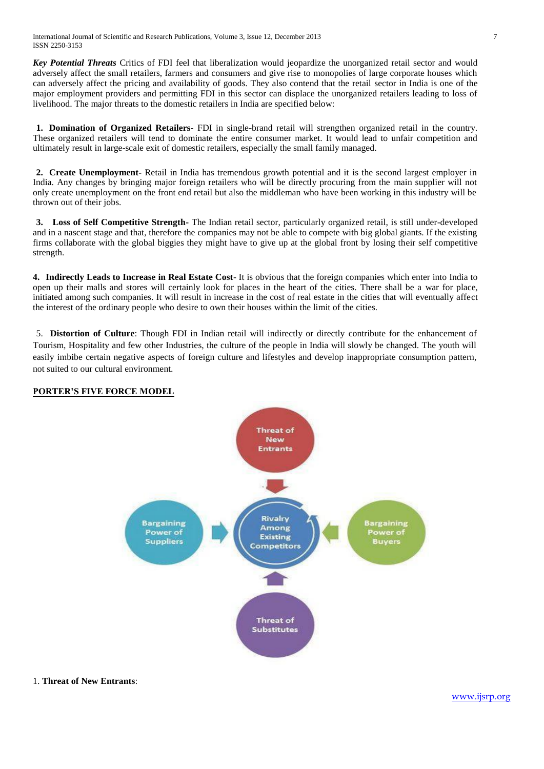*Key Potential Threats* Critics of FDI feel that liberalization would jeopardize the unorganized retail sector and would adversely affect the small retailers, farmers and consumers and give rise to monopolies of large corporate houses which can adversely affect the pricing and availability of goods. They also contend that the retail sector in India is one of the major employment providers and permitting FDI in this sector can displace the unorganized retailers leading to loss of livelihood. The major threats to the domestic retailers in India are specified below:

**1. Domination of Organized Retailers-** FDI in single-brand retail will strengthen organized retail in the country. These organized retailers will tend to dominate the entire consumer market. It would lead to unfair competition and ultimately result in large-scale exit of domestic retailers, especially the small family managed.

**2. Create Unemployment-** Retail in India has tremendous growth potential and it is the second largest employer in India. Any changes by bringing major foreign retailers who will be directly procuring from the main supplier will not only create unemployment on the front end retail but also the middleman who have been working in this industry will be thrown out of their jobs.

**3. Loss of Self Competitive Strength-** The Indian retail sector, particularly organized retail, is still under-developed and in a nascent stage and that, therefore the companies may not be able to compete with big global giants. If the existing firms collaborate with the global biggies they might have to give up at the global front by losing their self competitive strength.

**4. Indirectly Leads to Increase in Real Estate Cost**- It is obvious that the foreign companies which enter into India to open up their malls and stores will certainly look for places in the heart of the cities. There shall be a war for place, initiated among such companies. It will result in increase in the cost of real estate in the cities that will eventually affect the interest of the ordinary people who desire to own their houses within the limit of the cities.

5. **Distortion of Culture**: Though FDI in Indian retail will indirectly or directly contribute for the enhancement of Tourism, Hospitality and few other Industries, the culture of the people in India will slowly be changed. The youth will easily imbibe certain negative aspects of foreign culture and lifestyles and develop inappropriate consumption pattern, not suited to our cultural environment.

# **PORTER'S FIVE FORCE MODEL**



1. **Threat of New Entrants**: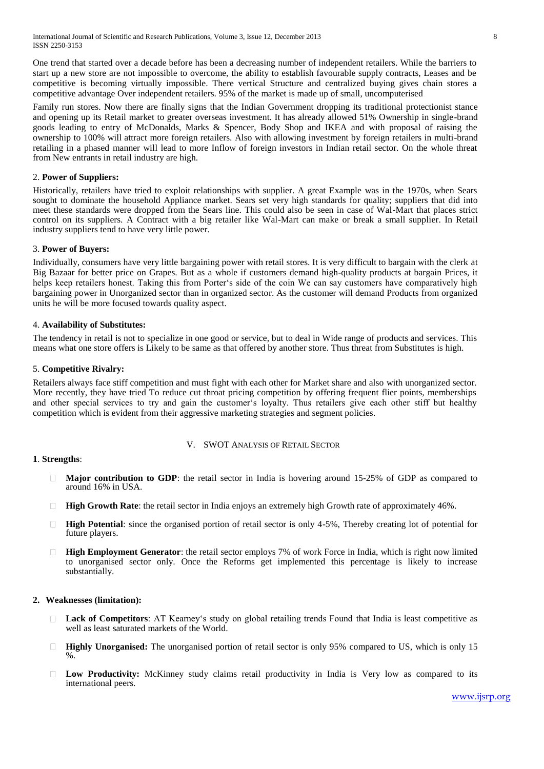International Journal of Scientific and Research Publications, Volume 3, Issue 12, December 2013 8 ISSN 2250-3153

One trend that started over a decade before has been a decreasing number of independent retailers. While the barriers to start up a new store are not impossible to overcome, the ability to establish favourable supply contracts, Leases and be competitive is becoming virtually impossible. There vertical Structure and centralized buying gives chain stores a competitive advantage Over independent retailers. 95% of the market is made up of small, uncomputerised

Family run stores. Now there are finally signs that the Indian Government dropping its traditional protectionist stance and opening up its Retail market to greater overseas investment. It has already allowed 51% Ownership in single-brand goods leading to entry of McDonalds, Marks & Spencer, Body Shop and IKEA and with proposal of raising the ownership to 100% will attract more foreign retailers. Also with allowing investment by foreign retailers in multi-brand retailing in a phased manner will lead to more Inflow of foreign investors in Indian retail sector. On the whole threat from New entrants in retail industry are high.

# 2. **Power of Suppliers:**

Historically, retailers have tried to exploit relationships with supplier. A great Example was in the 1970s, when Sears sought to dominate the household Appliance market. Sears set very high standards for quality; suppliers that did into meet these standards were dropped from the Sears line. This could also be seen in case of Wal-Mart that places strict control on its suppliers. A Contract with a big retailer like Wal-Mart can make or break a small supplier. In Retail industry suppliers tend to have very little power.

#### 3. **Power of Buyers:**

Individually, consumers have very little bargaining power with retail stores. It is very difficult to bargain with the clerk at Big Bazaar for better price on Grapes. But as a whole if customers demand high-quality products at bargain Prices, it helps keep retailers honest. Taking this from Porter's side of the coin We can say customers have comparatively high bargaining power in Unorganized sector than in organized sector. As the customer will demand Products from organized units he will be more focused towards quality aspect.

#### 4. **Availability of Substitutes:**

The tendency in retail is not to specialize in one good or service, but to deal in Wide range of products and services. This means what one store offers is Likely to be same as that offered by another store. Thus threat from Substitutes is high.

## 5. **Competitive Rivalry:**

Retailers always face stiff competition and must fight with each other for Market share and also with unorganized sector. More recently, they have tried To reduce cut throat pricing competition by offering frequent flier points, memberships and other special services to try and gain the customer's loyalty. Thus retailers give each other stiff but healthy competition which is evident from their aggressive marketing strategies and segment policies.

#### V. SWOT ANALYSIS OF RETAIL SECTOR

#### **1**. **Strengths**:

- **Major contribution to GDP**: the retail sector in India is hovering around 15-25% of GDP as compared to  $\Box$ around 16% in USA.
- **High Growth Rate**: the retail sector in India enjoys an extremely high Growth rate of approximately 46%.
- **High Potential**: since the organised portion of retail sector is only 4-5%, Thereby creating lot of potential for future players.
- $\Box$ **High Employment Generator**: the retail sector employs 7% of work Force in India, which is right now limited to unorganised sector only. Once the Reforms get implemented this percentage is likely to increase substantially.

#### **2. Weaknesses (limitation):**

- **Lack of Competitors**: AT Kearney's study on global retailing trends Found that India is least competitive as well as least saturated markets of the World.
- $\Box$ **Highly Unorganised:** The unorganised portion of retail sector is only 95% compared to US, which is only 15  $\%$ .
- **Low Productivity:** McKinney study claims retail productivity in India is Very low as compared to its international peers.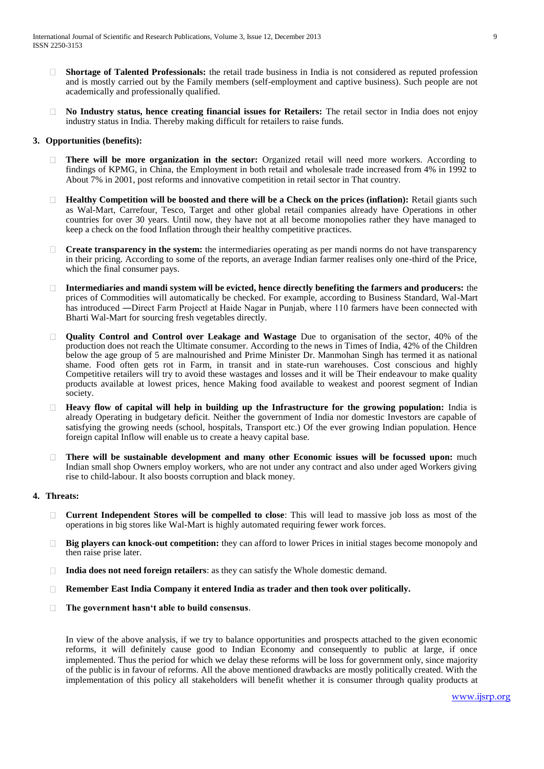- **Shortage of Talented Professionals:** the retail trade business in India is not considered as reputed profession  $\Box$ and is mostly carried out by the Family members (self-employment and captive business). Such people are not academically and professionally qualified.
- **No Industry status, hence creating financial issues for Retailers:** The retail sector in India does not enjoy  $\Box$ industry status in India. Thereby making difficult for retailers to raise funds.

# **3. Opportunities (benefits):**

- **There will be more organization in the sector:** Organized retail will need more workers. According to  $\Box$ findings of KPMG, in China, the Employment in both retail and wholesale trade increased from 4% in 1992 to About 7% in 2001, post reforms and innovative competition in retail sector in That country.
- **Healthy Competition will be boosted and there will be a Check on the prices (inflation):** Retail giants such as Wal-Mart, Carrefour, Tesco, Target and other global retail companies already have Operations in other countries for over 30 years. Until now, they have not at all become monopolies rather they have managed to keep a check on the food Inflation through their healthy competitive practices.
- □ **Create transparency in the system:** the intermediaries operating as per mandi norms do not have transparency in their pricing. According to some of the reports, an average Indian farmer realises only one-third of the Price, which the final consumer pays.
- **Intermediaries and mandi system will be evicted, hence directly benefiting the farmers and producers:** the  $\Box$ prices of Commodities will automatically be checked. For example, according to Business Standard, Wal-Mart has introduced —Direct Farm Projectl at Haide Nagar in Punjab, where 110 farmers have been connected with Bharti Wal-Mart for sourcing fresh vegetables directly.
- **Quality Control and Control over Leakage and Wastage** Due to organisation of the sector, 40% of the production does not reach the Ultimate consumer. According to the news in Times of India, 42% of the Children below the age group of 5 are malnourished and Prime Minister Dr. Manmohan Singh has termed it as national shame. Food often gets rot in Farm, in transit and in state-run warehouses. Cost conscious and highly Competitive retailers will try to avoid these wastages and losses and it will be Their endeavour to make quality products available at lowest prices, hence Making food available to weakest and poorest segment of Indian society.
- **Heavy flow of capital will help in building up the Infrastructure for the growing population:** India is already Operating in budgetary deficit. Neither the government of India nor domestic Investors are capable of satisfying the growing needs (school, hospitals, Transport etc.) Of the ever growing Indian population. Hence foreign capital Inflow will enable us to create a heavy capital base.
- **There will be sustainable development and many other Economic issues will be focussed upon:** much  $\Box$ Indian small shop Owners employ workers, who are not under any contract and also under aged Workers giving rise to child-labour. It also boosts corruption and black money.

#### **4. Threats:**

- **Current Independent Stores will be compelled to close**: This will lead to massive job loss as most of the operations in big stores like Wal-Mart is highly automated requiring fewer work forces.
- **Big players can knock-out competition:** they can afford to lower Prices in initial stages become monopoly and  $\Box$ then raise prise later.
- $\Box$ **India does not need foreign retailers**: as they can satisfy the Whole domestic demand.
- **Remember East India Company it entered India as trader and then took over politically.**
- **The government hasn't able to build consensus**.  $\Box$

In view of the above analysis, if we try to balance opportunities and prospects attached to the given economic reforms, it will definitely cause good to Indian Economy and consequently to public at large, if once implemented. Thus the period for which we delay these reforms will be loss for government only, since majority of the public is in favour of reforms. All the above mentioned drawbacks are mostly politically created. With the implementation of this policy all stakeholders will benefit whether it is consumer through quality products at